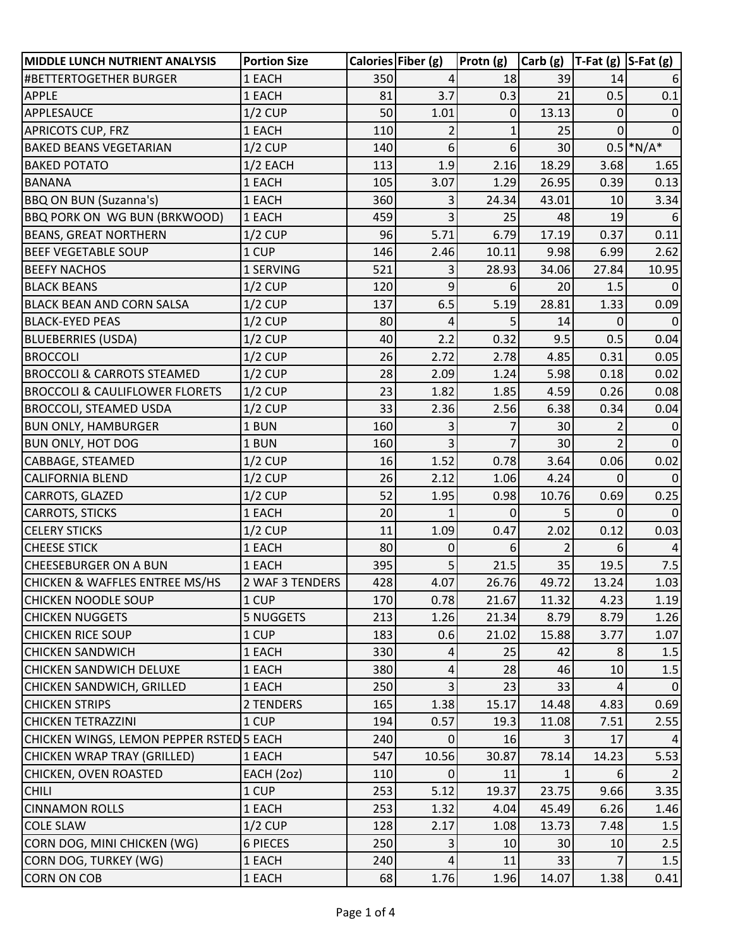| <b>MIDDLE LUNCH NUTRIENT ANALYSIS</b>     | <b>Portion Size</b> |     | Calories Fiber (g) | Protn (g) | $\vert$ Carb (g) $\vert$ T-Fat (g) $\vert$ S-Fat (g) |             |             |
|-------------------------------------------|---------------------|-----|--------------------|-----------|------------------------------------------------------|-------------|-------------|
| #BETTERTOGETHER BURGER                    | 1 EACH              | 350 | 4                  | 18        | 39                                                   | 14          |             |
| <b>APPLE</b>                              | 1 EACH              | 81  | 3.7                | 0.3       | 21                                                   | 0.5         | 0.1         |
| <b>APPLESAUCE</b>                         | $1/2$ CUP           | 50  | 1.01               | 0         | 13.13                                                | 0           | $\Omega$    |
| <b>APRICOTS CUP, FRZ</b>                  | 1 EACH              | 110 |                    |           | 25                                                   | $\Omega$    | 0           |
| <b>BAKED BEANS VEGETARIAN</b>             | $1/2$ CUP           | 140 | 6                  | 6         | 30                                                   |             | $0.5$ *N/A* |
| <b>BAKED POTATO</b>                       | $1/2$ EACH          | 113 | 1.9                | 2.16      | 18.29                                                | 3.68        | 1.65        |
| <b>BANANA</b>                             | 1 EACH              | 105 | 3.07               | 1.29      | 26.95                                                | 0.39        | 0.13        |
| <b>BBQ ON BUN (Suzanna's)</b>             | 1 EACH              | 360 | 3                  | 24.34     | 43.01                                                | 10          | 3.34        |
| <b>BBQ PORK ON WG BUN (BRKWOOD)</b>       | 1 EACH              | 459 | 3                  | 25        | 48                                                   | 19          | 6           |
| <b>BEANS, GREAT NORTHERN</b>              | $1/2$ CUP           | 96  | 5.71               | 6.79      | 17.19                                                | 0.37        | 0.11        |
| <b>BEEF VEGETABLE SOUP</b>                | 1 CUP               | 146 | 2.46               | 10.11     | 9.98                                                 | 6.99        | 2.62        |
| <b>BEEFY NACHOS</b>                       | 1 SERVING           | 521 | 3                  | 28.93     | 34.06                                                | 27.84       | 10.95       |
| <b>BLACK BEANS</b>                        | $1/2$ CUP           | 120 | 9                  | 6         | 20                                                   | 1.5         |             |
| <b>BLACK BEAN AND CORN SALSA</b>          | $1/2$ CUP           | 137 | 6.5                | 5.19      | 28.81                                                | 1.33        | 0.09        |
| <b>BLACK-EYED PEAS</b>                    | $1/2$ CUP           | 80  | 4                  | 5         | 14                                                   | 0           | $\Omega$    |
| <b>BLUEBERRIES (USDA)</b>                 | $1/2$ CUP           | 40  | 2.2                | 0.32      | 9.5                                                  | 0.5         | 0.04        |
| <b>BROCCOLI</b>                           | $1/2$ CUP           | 26  | 2.72               | 2.78      | 4.85                                                 | 0.31        | 0.05        |
| <b>BROCCOLI &amp; CARROTS STEAMED</b>     | $1/2$ CUP           | 28  | 2.09               | 1.24      | 5.98                                                 | 0.18        | 0.02        |
| <b>BROCCOLI &amp; CAULIFLOWER FLORETS</b> | $1/2$ CUP           | 23  | 1.82               | 1.85      | 4.59                                                 | 0.26        | 0.08        |
| <b>BROCCOLI, STEAMED USDA</b>             | $1/2$ CUP           | 33  | 2.36               | 2.56      | 6.38                                                 | 0.34        | 0.04        |
| <b>BUN ONLY, HAMBURGER</b>                | 1 BUN               | 160 | 3                  |           | 30                                                   | 2           | $\mathbf 0$ |
| <b>BUN ONLY, HOT DOG</b>                  | 1 BUN               | 160 | 3                  |           | 30                                                   |             | $\Omega$    |
| CABBAGE, STEAMED                          | $1/2$ CUP           | 16  | 1.52               | 0.78      | 3.64                                                 | 0.06        | 0.02        |
| <b>CALIFORNIA BLEND</b>                   | $1/2$ CUP           | 26  | 2.12               | 1.06      | 4.24                                                 | $\Omega$    | $\Omega$    |
| CARROTS, GLAZED                           | $1/2$ CUP           | 52  | 1.95               | 0.98      | 10.76                                                | 0.69        | 0.25        |
| <b>CARROTS, STICKS</b>                    | 1 EACH              | 20  | $\mathbf{1}$       | 0         | 5                                                    | $\mathbf 0$ | $\Omega$    |
| <b>CELERY STICKS</b>                      | $1/2$ CUP           | 11  | 1.09               | 0.47      | 2.02                                                 | 0.12        | 0.03        |
| <b>CHEESE STICK</b>                       | 1 EACH              | 80  | 0                  | 6         |                                                      | 6           | 4           |
| <b>CHEESEBURGER ON A BUN</b>              | 1 EACH              | 395 | 5                  | 21.5      | 35                                                   | 19.5        | 7.5         |
| <b>CHICKEN &amp; WAFFLES ENTREE MS/HS</b> | 2 WAF 3 TENDERS     | 428 | 4.07               | 26.76     | 49.72                                                | 13.24       | 1.03        |
| <b>CHICKEN NOODLE SOUP</b>                | 1 CUP               | 170 | 0.78               | 21.67     | 11.32                                                | 4.23        | 1.19        |
| <b>CHICKEN NUGGETS</b>                    | <b>5 NUGGETS</b>    | 213 | 1.26               | 21.34     | 8.79                                                 | 8.79        | 1.26        |
| <b>CHICKEN RICE SOUP</b>                  | 1 CUP               | 183 | 0.6                | 21.02     | 15.88                                                | 3.77        | 1.07        |
| <b>CHICKEN SANDWICH</b>                   | 1 EACH              | 330 | 4                  | 25        | 42                                                   | 8           | 1.5         |
| CHICKEN SANDWICH DELUXE                   | 1 EACH              | 380 | 4                  | 28        | 46                                                   | 10          | 1.5         |
| CHICKEN SANDWICH, GRILLED                 | 1 EACH              | 250 | 3                  | 23        | 33                                                   |             | 0           |
| <b>CHICKEN STRIPS</b>                     | 2 TENDERS           | 165 | 1.38               | 15.17     | 14.48                                                | 4.83        | 0.69        |
| <b>CHICKEN TETRAZZINI</b>                 | 1 CUP               | 194 | 0.57               | 19.3      | 11.08                                                | 7.51        | 2.55        |
| CHICKEN WINGS, LEMON PEPPER RSTED 5 EACH  |                     | 240 | 0                  | 16        |                                                      | 17          |             |
| CHICKEN WRAP TRAY (GRILLED)               | 1 EACH              | 547 | 10.56              | 30.87     | 78.14                                                | 14.23       | 5.53        |
| CHICKEN, OVEN ROASTED                     | EACH (2oz)          | 110 | 0                  | 11        |                                                      | 6           |             |
| <b>CHILI</b>                              | 1 CUP               | 253 | 5.12               | 19.37     | 23.75                                                | 9.66        | 3.35        |
| <b>CINNAMON ROLLS</b>                     | 1 EACH              | 253 | 1.32               | 4.04      | 45.49                                                | 6.26        | 1.46        |
| <b>COLE SLAW</b>                          | $1/2$ CUP           | 128 | 2.17               | 1.08      | 13.73                                                | 7.48        | 1.5         |
| CORN DOG, MINI CHICKEN (WG)               | 6 PIECES            | 250 | 3                  | 10        | 30                                                   | 10          | 2.5         |
| CORN DOG, TURKEY (WG)                     | 1 EACH              | 240 | 4                  | 11        | 33                                                   |             | 1.5         |
| <b>CORN ON COB</b>                        | 1 EACH              | 68  | 1.76               | 1.96      | 14.07                                                | 1.38        | 0.41        |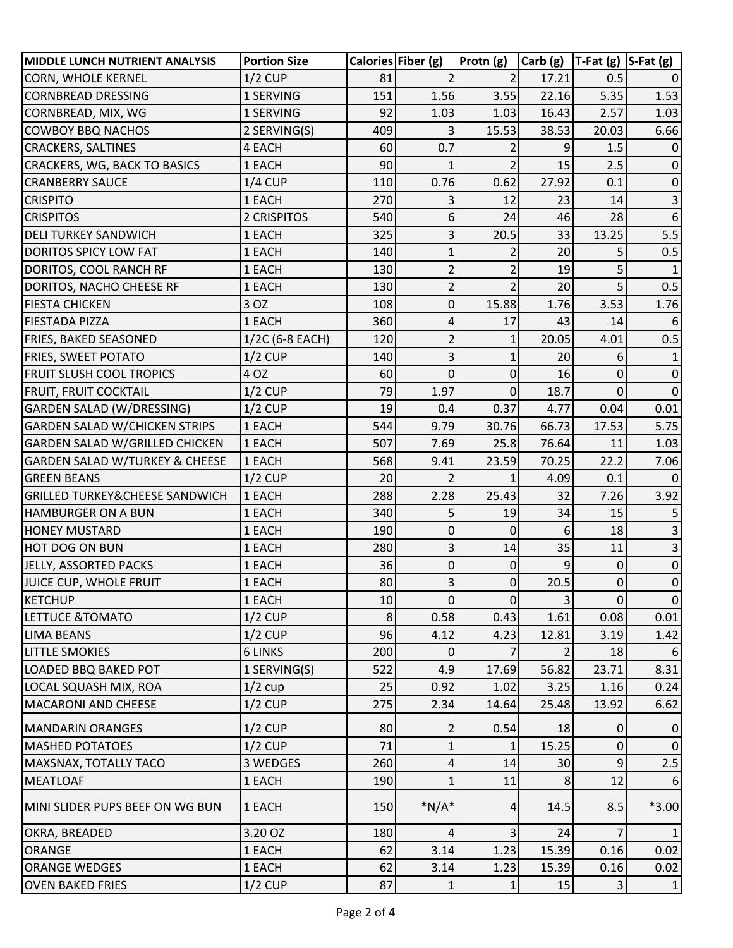| <b>MIDDLE LUNCH NUTRIENT ANALYSIS</b>     | <b>Portion Size</b> |     | Calories Fiber (g) | Protn (g)      | $ $ Carb (g)   T-Fat (g)   S-Fat (g) |                |                |
|-------------------------------------------|---------------------|-----|--------------------|----------------|--------------------------------------|----------------|----------------|
| CORN, WHOLE KERNEL                        | $1/2$ CUP           | 81  |                    |                | 17.21                                | 0.5            |                |
| <b>CORNBREAD DRESSING</b>                 | 1 SERVING           | 151 | 1.56               | 3.55           | 22.16                                | 5.35           | 1.53           |
| CORNBREAD, MIX, WG                        | 1 SERVING           | 92  | 1.03               | 1.03           | 16.43                                | 2.57           | 1.03           |
| <b>COWBOY BBQ NACHOS</b>                  | 2 SERVING(S)        | 409 | 3                  | 15.53          | 38.53                                | 20.03          | 6.66           |
| <b>CRACKERS, SALTINES</b>                 | 4 EACH              | 60  | 0.7                |                | 9                                    | 1.5            |                |
| CRACKERS, WG, BACK TO BASICS              | 1 EACH              | 90  | 1                  |                | 15                                   | 2.5            | 0              |
| <b>CRANBERRY SAUCE</b>                    | $1/4$ CUP           | 110 | 0.76               | 0.62           | 27.92                                | 0.1            | 0              |
| <b>CRISPITO</b>                           | 1 EACH              | 270 | 3                  | 12             | 23                                   | 14             |                |
| <b>CRISPITOS</b>                          | 2 CRISPITOS         | 540 | 6                  | 24             | 46                                   | 28             | 6              |
| <b>DELI TURKEY SANDWICH</b>               | 1 EACH              | 325 | 3                  | 20.5           | 33                                   | 13.25          | 5.5            |
| <b>DORITOS SPICY LOW FAT</b>              | 1 EACH              | 140 | 1                  |                | 20                                   |                | 0.5            |
| DORITOS, COOL RANCH RF                    | 1 EACH              | 130 | $\overline{c}$     | $\overline{2}$ | 19                                   | 5              |                |
| DORITOS, NACHO CHEESE RF                  | 1 EACH              | 130 | $\overline{2}$     |                | 20                                   |                | 0.5            |
| <b>FIESTA CHICKEN</b>                     | 3 OZ                | 108 | $\mathbf 0$        | 15.88          | 1.76                                 | 3.53           | 1.76           |
| FIESTADA PIZZA                            | 1 EACH              | 360 | 4                  | 17             | 43                                   | 14             |                |
| <b>FRIES, BAKED SEASONED</b>              | 1/2C (6-8 EACH)     | 120 | $\overline{2}$     | 1              | 20.05                                | 4.01           | 0.5            |
| <b>FRIES, SWEET POTATO</b>                | $1/2$ CUP           | 140 | 3                  | 1              | 20                                   | 6              |                |
| <b>FRUIT SLUSH COOL TROPICS</b>           | 4 OZ                | 60  | $\overline{0}$     | $\Omega$       | 16                                   | 0              | 0              |
| FRUIT, FRUIT COCKTAIL                     | $1/2$ CUP           | 79  | 1.97               | $\Omega$       | 18.7                                 | 0              | $\Omega$       |
| <b>GARDEN SALAD (W/DRESSING)</b>          | $1/2$ CUP           | 19  | 0.4                | 0.37           | 4.77                                 | 0.04           | 0.01           |
| <b>GARDEN SALAD W/CHICKEN STRIPS</b>      | 1 EACH              | 544 | 9.79               | 30.76          | 66.73                                | 17.53          | 5.75           |
| <b>GARDEN SALAD W/GRILLED CHICKEN</b>     | 1 EACH              | 507 | 7.69               | 25.8           | 76.64                                | 11             | 1.03           |
| <b>GARDEN SALAD W/TURKEY &amp; CHEESE</b> | 1 EACH              | 568 | 9.41               | 23.59          | 70.25                                | 22.2           | 7.06           |
| <b>GREEN BEANS</b>                        | $1/2$ CUP           | 20  | $\overline{2}$     | 1              | 4.09                                 | 0.1            |                |
| <b>GRILLED TURKEY&amp;CHEESE SANDWICH</b> | 1 EACH              | 288 | 2.28               | 25.43          | 32                                   | 7.26           | 3.92           |
| <b>HAMBURGER ON A BUN</b>                 | 1 EACH              | 340 | 5                  | 19             | 34                                   | 15             |                |
| <b>HONEY MUSTARD</b>                      | 1 EACH              | 190 | 0                  | 0              | 6                                    | 18             |                |
| <b>HOT DOG ON BUN</b>                     | 1 EACH              | 280 | 3                  | 14             | 35                                   | 11             |                |
| JELLY, ASSORTED PACKS                     | 1 EACH              | 36  | 0                  | 0              | 9                                    | 0              | 0              |
| JUICE CUP, WHOLE FRUIT                    | 1 EACH              | 80  | 3                  | $\Omega$       | 20.5                                 | $\overline{0}$ | $\Omega$       |
| <b>KETCHUP</b>                            | 1 EACH              | 10  | 0                  | $\mathbf 0$    | $\overline{3}$                       | $\mathbf 0$    | $\overline{0}$ |
| LETTUCE & TOMATO                          | $1/2$ CUP           | 8   | 0.58               | 0.43           | 1.61                                 | 0.08           | 0.01           |
| <b>LIMA BEANS</b>                         | $1/2$ CUP           | 96  | 4.12               | 4.23           | 12.81                                | 3.19           | 1.42           |
| <b>LITTLE SMOKIES</b>                     | <b>6 LINKS</b>      | 200 | 0                  |                |                                      | 18             | 6              |
| LOADED BBQ BAKED POT                      | 1 SERVING(S)        | 522 | 4.9                | 17.69          | 56.82                                | 23.71          | 8.31           |
| LOCAL SQUASH MIX, ROA                     | $1/2$ cup           | 25  | 0.92               | 1.02           | 3.25                                 | 1.16           | 0.24           |
| <b>MACARONI AND CHEESE</b>                | $1/2$ CUP           | 275 | 2.34               | 14.64          | 25.48                                | 13.92          | 6.62           |
| <b>MANDARIN ORANGES</b>                   | $1/2$ CUP           | 80  | 2                  | 0.54           | 18                                   | 0              | 0              |
| <b>MASHED POTATOES</b>                    | $1/2$ CUP           | 71  | $\mathbf{1}$       |                | 15.25                                | $\Omega$       | $\mathbf 0$    |
| MAXSNAX, TOTALLY TACO                     | 3 WEDGES            | 260 | 4                  | 14             | 30                                   | 9              | 2.5            |
| <b>MEATLOAF</b>                           | 1 EACH              | 190 |                    | 11             | 8                                    | 12             |                |
| MINI SLIDER PUPS BEEF ON WG BUN           | 1 EACH              | 150 | $*N/A*$            | 4              | 14.5                                 | 8.5            | $*3.00$        |
| OKRA, BREADED                             | 3.20 OZ             | 180 | 4                  | 3              | 24                                   |                |                |
| <b>ORANGE</b>                             | 1 EACH              | 62  | 3.14               | 1.23           | 15.39                                | 0.16           | 0.02           |
| <b>ORANGE WEDGES</b>                      | 1 EACH              | 62  | 3.14               | 1.23           | 15.39                                | 0.16           | 0.02           |
| <b>OVEN BAKED FRIES</b>                   | $1/2$ CUP           | 87  | 1                  | 1              | 15                                   | 3              | 1              |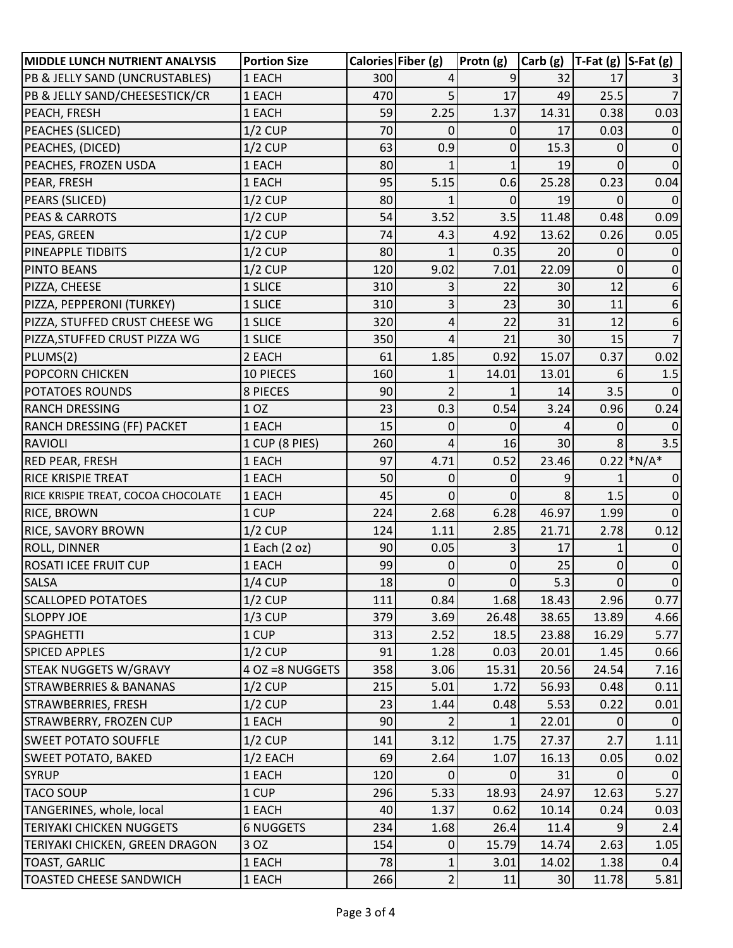| MIDDLE LUNCH NUTRIENT ANALYSIS      | <b>Portion Size</b> |     | Calories Fiber (g) | Protn (g) | $ Carb (g)  T-Fat (g)  S-Fat (g) $ |                |              |
|-------------------------------------|---------------------|-----|--------------------|-----------|------------------------------------|----------------|--------------|
| PB & JELLY SAND (UNCRUSTABLES)      | 1 EACH              | 300 |                    | 9         | 32                                 | 17             |              |
| PB & JELLY SAND/CHEESESTICK/CR      | 1 EACH              | 470 | 5                  | 17        | 49                                 | 25.5           |              |
| PEACH, FRESH                        | 1 EACH              | 59  | 2.25               | 1.37      | 14.31                              | 0.38           | 0.03         |
| PEACHES (SLICED)                    | $1/2$ CUP           | 70  | 0                  | 0         | 17                                 | 0.03           |              |
| PEACHES, (DICED)                    | $1/2$ CUP           | 63  | 0.9                | 0         | 15.3                               | O              |              |
| PEACHES, FROZEN USDA                | 1 EACH              | 80  |                    |           | 19                                 | 0              |              |
| PEAR, FRESH                         | 1 EACH              | 95  | 5.15               | 0.6       | 25.28                              | 0.23           | 0.04         |
| PEARS (SLICED)                      | $1/2$ CUP           | 80  |                    | 0         | 19                                 | O              |              |
| <b>PEAS &amp; CARROTS</b>           | $1/2$ CUP           | 54  | 3.52               | 3.5       | 11.48                              | 0.48           | 0.09         |
| PEAS, GREEN                         | $1/2$ CUP           | 74  | 4.3                | 4.92      | 13.62                              | 0.26           | 0.05         |
| <b>PINEAPPLE TIDBITS</b>            | $1/2$ CUP           | 80  |                    | 0.35      | 20                                 | 0              |              |
| <b>PINTO BEANS</b>                  | $1/2$ CUP           | 120 | 9.02               | 7.01      | 22.09                              | $\overline{0}$ |              |
| PIZZA, CHEESE                       | 1 SLICE             | 310 | 3                  | 22        | 30                                 | 12             |              |
| PIZZA, PEPPERONI (TURKEY)           | 1 SLICE             | 310 | 3                  | 23        | 30                                 | 11             | 6            |
| PIZZA, STUFFED CRUST CHEESE WG      | 1 SLICE             | 320 | 4                  | 22        | 31                                 | 12             |              |
| PIZZA, STUFFED CRUST PIZZA WG       | 1 SLICE             | 350 | 4                  | 21        | 30                                 | 15             |              |
| PLUMS(2)                            | 2 EACH              | 61  | 1.85               | 0.92      | 15.07                              | 0.37           | 0.02         |
| <b>POPCORN CHICKEN</b>              | 10 PIECES           | 160 | 1                  | 14.01     | 13.01                              | 6              | 1.5          |
| <b>POTATOES ROUNDS</b>              | 8 PIECES            | 90  | $\overline{2}$     |           | 14                                 | 3.5            |              |
| <b>RANCH DRESSING</b>               | 1 OZ                | 23  | 0.3                | 0.54      | 3.24                               | 0.96           | 0.24         |
| <b>RANCH DRESSING (FF) PACKET</b>   | 1 EACH              | 15  | 0                  | $\Omega$  | Δ                                  | 0              | $\Omega$     |
| RAVIOLI                             | 1 CUP (8 PIES)      | 260 | 4                  | 16        | 30                                 | 8              | 3.5          |
| <b>RED PEAR, FRESH</b>              | 1 EACH              | 97  | 4.71               | 0.52      | 23.46                              |                | $0.22$ *N/A* |
| <b>RICE KRISPIE TREAT</b>           | 1 EACH              | 50  | $\Omega$           | 0         | 9                                  |                |              |
| RICE KRISPIE TREAT, COCOA CHOCOLATE | 1 EACH              | 45  | 0                  | $\Omega$  | 8                                  | 1.5            |              |
| <b>RICE, BROWN</b>                  | 1 CUP               | 224 | 2.68               | 6.28      | 46.97                              | 1.99           | <sup>0</sup> |
| <b>RICE, SAVORY BROWN</b>           | $1/2$ CUP           | 124 | 1.11               | 2.85      | 21.71                              | 2.78           | 0.12         |
| <b>ROLL, DINNER</b>                 | 1 Each (2 oz)       | 90  | 0.05               |           | 17                                 |                |              |
| <b>ROSATI ICEE FRUIT CUP</b>        | 1 EACH              | 99  | 0                  | 0         | 25                                 | 0              |              |
| <b>SALSA</b>                        | $1/4$ CUP           | 18  | $\overline{0}$     | $\Omega$  | 5.3                                | $\Omega$       | $\Omega$     |
| <b>SCALLOPED POTATOES</b>           | $1/2$ CUP           | 111 | 0.84               | 1.68      | 18.43                              | 2.96           | 0.77         |
| <b>SLOPPY JOE</b>                   | $1/3$ CUP           | 379 | 3.69               | 26.48     | 38.65                              | 13.89          | 4.66         |
| <b>SPAGHETTI</b>                    | 1 CUP               | 313 | 2.52               | 18.5      | 23.88                              | 16.29          | 5.77         |
| <b>SPICED APPLES</b>                | $1/2$ CUP           | 91  | 1.28               | 0.03      | 20.01                              | 1.45           | 0.66         |
| <b>STEAK NUGGETS W/GRAVY</b>        | 4 OZ = 8 NUGGETS    | 358 | 3.06               | 15.31     | 20.56                              | 24.54          | 7.16         |
| <b>STRAWBERRIES &amp; BANANAS</b>   | $1/2$ CUP           | 215 | 5.01               | 1.72      | 56.93                              | 0.48           | 0.11         |
| STRAWBERRIES, FRESH                 | $1/2$ CUP           | 23  | 1.44               | 0.48      | 5.53                               | 0.22           | 0.01         |
| <b>STRAWBERRY, FROZEN CUP</b>       | 1 EACH              | 90  | 2                  | 1         | 22.01                              | 0              | $\mathbf{0}$ |
| <b>SWEET POTATO SOUFFLE</b>         | $1/2$ CUP           | 141 | 3.12               | 1.75      | 27.37                              | 2.7            | 1.11         |
| <b>SWEET POTATO, BAKED</b>          | 1/2 EACH            | 69  | 2.64               | 1.07      | 16.13                              | 0.05           | 0.02         |
| <b>SYRUP</b>                        | 1 EACH              | 120 | 0                  | 0         | 31                                 | 0              | 0            |
| <b>TACO SOUP</b>                    | 1 CUP               | 296 | 5.33               | 18.93     | 24.97                              | 12.63          | 5.27         |
| TANGERINES, whole, local            | 1 EACH              | 40  | 1.37               | 0.62      | 10.14                              | 0.24           | 0.03         |
| <b>TERIYAKI CHICKEN NUGGETS</b>     | <b>6 NUGGETS</b>    | 234 | 1.68               | 26.4      | 11.4                               | 9              | 2.4          |
| TERIYAKI CHICKEN, GREEN DRAGON      | 3 OZ                | 154 | 0                  | 15.79     | 14.74                              | 2.63           | 1.05         |
| <b>TOAST, GARLIC</b>                | 1 EACH              | 78  | $\mathbf{1}$       | 3.01      | 14.02                              | 1.38           | 0.4          |
| <b>TOASTED CHEESE SANDWICH</b>      | 1 EACH              | 266 | $\overline{2}$     | 11        | 30                                 | 11.78          | 5.81         |